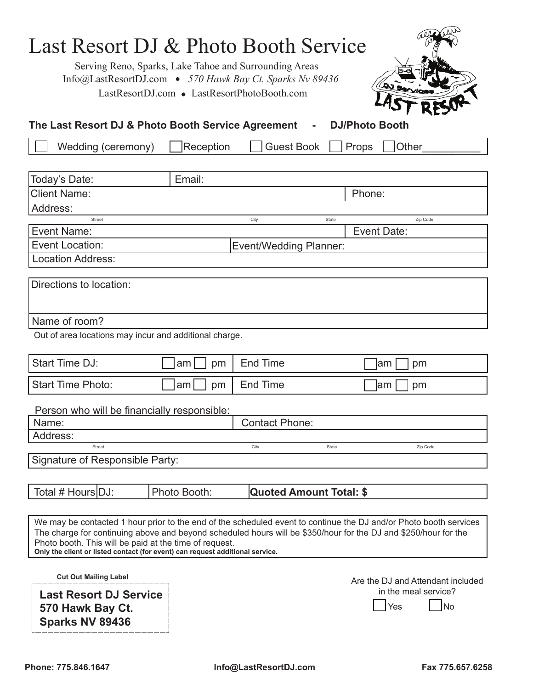| Last Resort DJ & Photo Booth Service<br>Info@LastResortDJ.com • 570 Hawk Bay Ct. Sparks Nv 89436<br>The Last Resort DJ & Photo Booth Service Agreement                                                                                                                                                                                                                          | LastResortDJ.com • LastResortPhotoBooth.com | Serving Reno, Sparks, Lake Tahoe and Surrounding Areas | <b>DJ SQ</b><br><b>DJ/Photo Booth</b> |    |  |
|---------------------------------------------------------------------------------------------------------------------------------------------------------------------------------------------------------------------------------------------------------------------------------------------------------------------------------------------------------------------------------|---------------------------------------------|--------------------------------------------------------|---------------------------------------|----|--|
| Wedding (ceremony)                                                                                                                                                                                                                                                                                                                                                              | Reception                                   | <b>Guest Book</b>                                      | Other<br>Props                        |    |  |
|                                                                                                                                                                                                                                                                                                                                                                                 |                                             |                                                        |                                       |    |  |
| Today's Date:                                                                                                                                                                                                                                                                                                                                                                   | Email:                                      |                                                        |                                       |    |  |
| <b>Client Name:</b>                                                                                                                                                                                                                                                                                                                                                             |                                             |                                                        | Phone:                                |    |  |
| Address:                                                                                                                                                                                                                                                                                                                                                                        |                                             |                                                        |                                       |    |  |
| Street                                                                                                                                                                                                                                                                                                                                                                          |                                             | City                                                   | Zip Code<br>State                     |    |  |
| <b>Event Name:</b>                                                                                                                                                                                                                                                                                                                                                              |                                             |                                                        | <b>Event Date:</b>                    |    |  |
| <b>Event Location:</b>                                                                                                                                                                                                                                                                                                                                                          |                                             | <b>Event/Wedding Planner:</b>                          |                                       |    |  |
| <b>Location Address:</b>                                                                                                                                                                                                                                                                                                                                                        |                                             |                                                        |                                       |    |  |
| Directions to location:                                                                                                                                                                                                                                                                                                                                                         |                                             |                                                        |                                       |    |  |
| Name of room?                                                                                                                                                                                                                                                                                                                                                                   |                                             |                                                        |                                       |    |  |
| Out of area locations may incur and additional charge.                                                                                                                                                                                                                                                                                                                          |                                             |                                                        |                                       |    |  |
| <b>Start Time DJ:</b>                                                                                                                                                                                                                                                                                                                                                           | am<br>pm                                    | <b>End Time</b>                                        | ∣am<br>pm                             |    |  |
| <b>Start Time Photo:</b>                                                                                                                                                                                                                                                                                                                                                        | am <sub>l</sub><br>pm                       | <b>End Time</b>                                        | am<br>pm                              |    |  |
| Person who will be financially responsible:                                                                                                                                                                                                                                                                                                                                     |                                             |                                                        |                                       |    |  |
| Name:                                                                                                                                                                                                                                                                                                                                                                           |                                             | <b>Contact Phone:</b>                                  |                                       |    |  |
| Address:                                                                                                                                                                                                                                                                                                                                                                        |                                             |                                                        |                                       |    |  |
| Street                                                                                                                                                                                                                                                                                                                                                                          |                                             | City                                                   | State<br>Zip Code                     |    |  |
| Signature of Responsible Party:                                                                                                                                                                                                                                                                                                                                                 |                                             |                                                        |                                       |    |  |
| Total # Hours DJ:                                                                                                                                                                                                                                                                                                                                                               | Photo Booth:                                | <b>Quoted Amount Total: \$</b>                         |                                       |    |  |
|                                                                                                                                                                                                                                                                                                                                                                                 |                                             |                                                        |                                       |    |  |
| We may be contacted 1 hour prior to the end of the scheduled event to continue the DJ and/or Photo booth services<br>The charge for continuing above and beyond scheduled hours will be \$350/hour for the DJ and \$250/hour for the<br>Photo booth. This will be paid at the time of request.<br>Only the client or listed contact (for event) can request additional service. |                                             |                                                        |                                       |    |  |
| <b>Cut Out Mailing Label</b>                                                                                                                                                                                                                                                                                                                                                    |                                             |                                                        | Are the DJ and Attendant included     |    |  |
| <b>Last Resort DJ Service</b><br>570 Hawk Bay Ct.<br>Sparks NV 89436                                                                                                                                                                                                                                                                                                            |                                             |                                                        | in the meal service?<br>Yes           | No |  |

Phone: 775.846.1647 **Info@LastResortDJ.com** Fax 775.657.6258